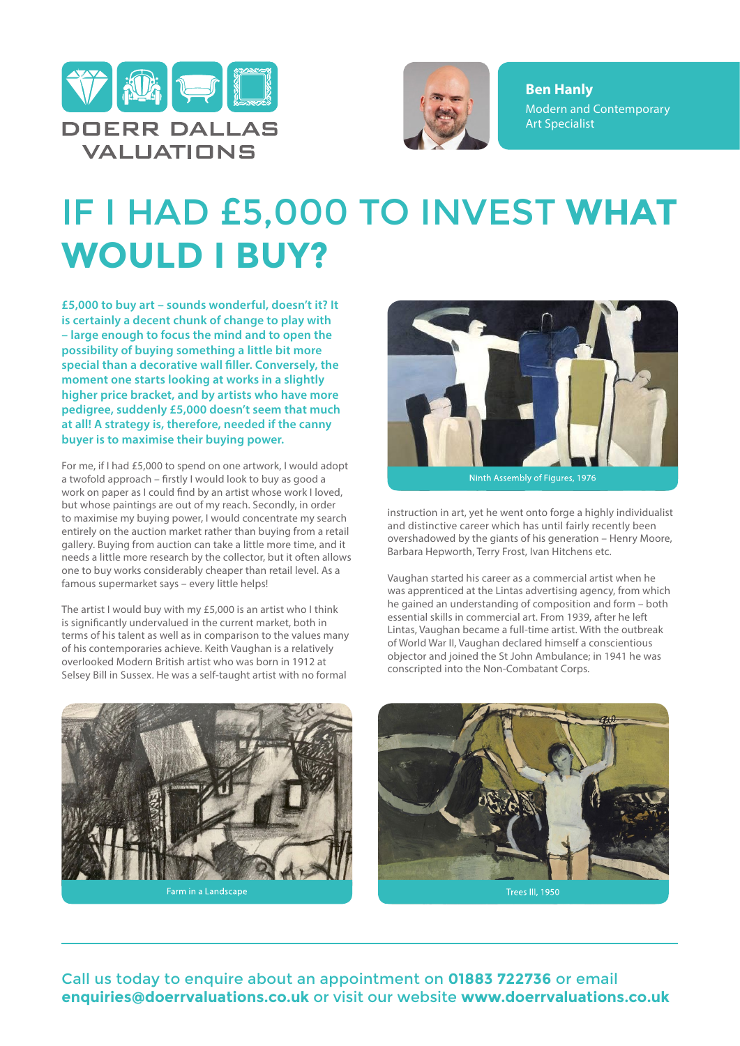



**Ben Hanly** Modern and Contemporary Art Specialist

## IF I HAD £5,000 TO INVEST **WHAT WOULD I BUY?**

**£5,000 to buy art – sounds wonderful, doesn't it? It is certainly a decent chunk of change to play with – large enough to focus the mind and to open the possibility of buying something a little bit more special than a decorative wall filler. Conversely, the moment one starts looking at works in a slightly higher price bracket, and by artists who have more pedigree, suddenly £5,000 doesn't seem that much at all! A strategy is, therefore, needed if the canny buyer is to maximise their buying power.**

For me, if I had £5,000 to spend on one artwork, I would adopt a twofold approach – firstly I would look to buy as good a work on paper as I could find by an artist whose work I loved, but whose paintings are out of my reach. Secondly, in order to maximise my buying power, I would concentrate my search entirely on the auction market rather than buying from a retail gallery. Buying from auction can take a little more time, and it needs a little more research by the collector, but it often allows one to buy works considerably cheaper than retail level. As a famous supermarket says – every little helps!

The artist I would buy with my £5,000 is an artist who I think is significantly undervalued in the current market, both in terms of his talent as well as in comparison to the values many of his contemporaries achieve. Keith Vaughan is a relatively overlooked Modern British artist who was born in 1912 at Selsey Bill in Sussex. He was a self-taught artist with no formal



Ninth Assembly of Figures, 1976

instruction in art, yet he went onto forge a highly individualist and distinctive career which has until fairly recently been overshadowed by the giants of his generation – Henry Moore, Barbara Hepworth, Terry Frost, Ivan Hitchens etc.

Vaughan started his career as a commercial artist when he was apprenticed at the Lintas advertising agency, from which he gained an understanding of composition and form – both essential skills in commercial art. From 1939, after he left Lintas, Vaughan became a full-time artist. With the outbreak of World War II, Vaughan declared himself a conscientious objector and joined the St John Ambulance; in 1941 he was conscripted into the Non-Combatant Corps.





Call us today to enquire about an appointment on **01883 722736** or email **enquiries@doerrvaluations.co.uk** or visit our website **www.doerrvaluations.co.uk**